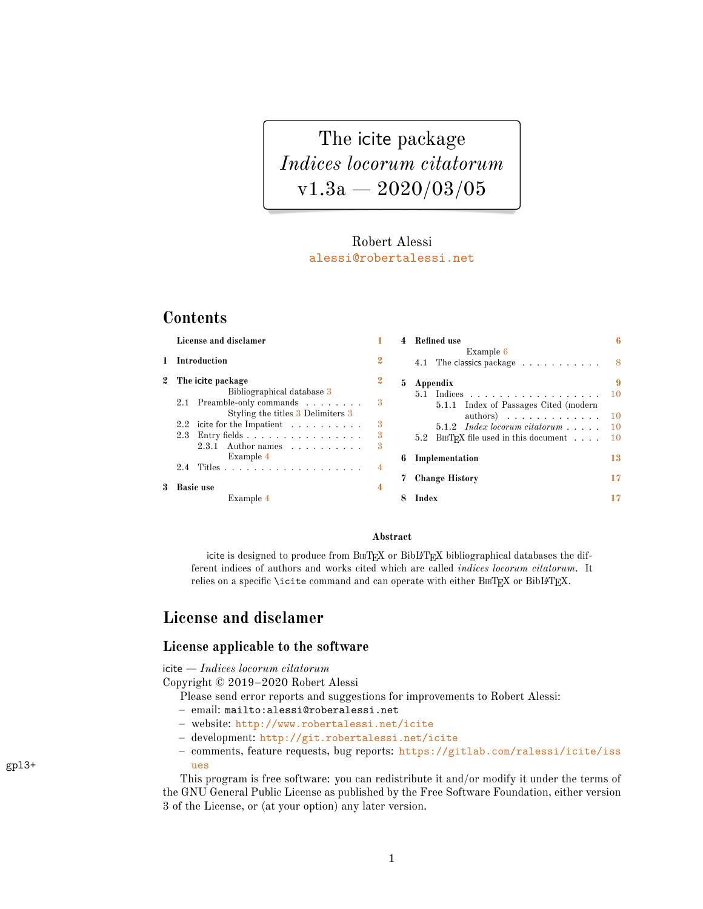<span id="page-0-2"></span><span id="page-0-1"></span>The icite package *Indices locorum citatorum*  $v1.3a - 2020/03/05$ 

### Robert Alessi [alessi@robertalessi.net](mailto:alessi@robertalessi.net?Subject=icite package)

# **Contents**

| License and disclamer                                                                                                                 |                  | 4  | <b>Refined</b> use                                                                                              | 6   |
|---------------------------------------------------------------------------------------------------------------------------------------|------------------|----|-----------------------------------------------------------------------------------------------------------------|-----|
| 1 Introduction                                                                                                                        | $\boldsymbol{2}$ |    | Example 6<br>4.1 The classics package $\dots \dots \dots$ 8                                                     |     |
| 2 The icite package                                                                                                                   | $\mathbf{2}$     | 5. | Appendix                                                                                                        |     |
| Bibliographical database 3<br>2.1 Preamble-only commands                                                                              | -3               |    | $5.1$ Indices<br>5.1.1 Index of Passages Cited (modern)                                                         |     |
| Styling the titles 3 Delimiters 3<br>2.2 icite for the Impatient $\ldots$<br>Entry fields $\ldots \ldots \ldots \ldots \ldots$<br>2.3 | 3<br>3           |    | authors) $10$<br>$5.1.2$ Index locorum citatorum $\dots$ .<br>5.2 BIBTEX file used in this document $\ldots$ 10 | -10 |
| $2.3.1$ Author names<br>Example 4                                                                                                     | 3                | 6  | Implementation                                                                                                  | 13  |
| 3 Basic use                                                                                                                           | 4                |    | <b>Change History</b>                                                                                           | 17  |
| Example 4                                                                                                                             |                  |    | Index                                                                                                           | 17  |

#### **Abstract**

icite is designed to produce from BIBTEX or BibL<sup>4T</sup>EX bibliographical databases the different indices of authors and works cited which are called *indices locorum citatorum*. It relies on a specific **\icite** command and can operate with either  $B \text{B} \text{T} \text{F} \text{X}$  or  $B \text{ib} \text{L} \text{F} \text{F} \text{X}$ .

# <span id="page-0-0"></span>**License and disclamer**

#### **License applicable to the software**

icite — *Indices locorum citatorum*

Copyright © 2019–2020 Robert Alessi

Please send error reports and suggestions for improvements to Robert Alessi:

- email: mailto:alessi@roberalessi.net
- website: <http://www.robertalessi.net/icite>
- development: <http://git.robertalessi.net/icite>
- comments, feature requests, bug reports: [https://gitlab.com/ralessi/icite/iss](https://gitlab.com/ralessi/icite/issues) gpl3+ [ues](https://gitlab.com/ralessi/icite/issues)

This program is free software: you can redistribute it and/or modify it under the terms of the GNU General Public License as published by the Free Software Foundation, either version 3 of the License, or (at your option) any later version.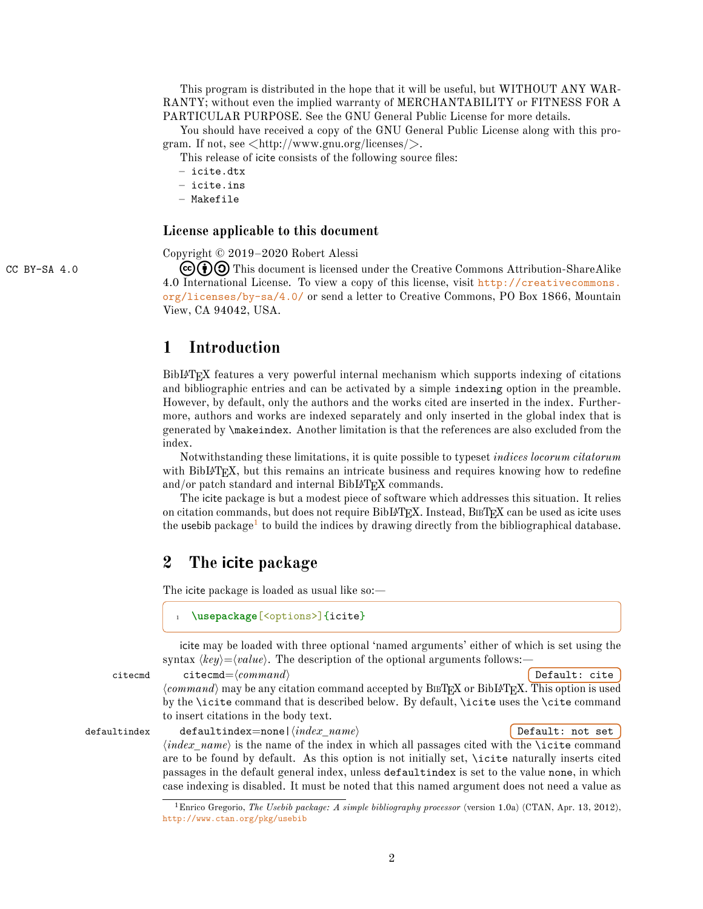This program is distributed in the hope that it will be useful, but WITHOUT ANY WAR-RANTY; without even the implied warranty of MERCHANTABILITY or FITNESS FOR A PARTICULAR PURPOSE. See the GNU General Public License for more details.

You should have received a copy of the GNU General Public License along with this program. If not, see  $\langle \text{http://www.gnu.org/licenses/}\rangle$ .

This release of icite consists of the following source files:

- icite.dtx
- icite.ins
- Makefile

#### **License applicable to this document**

Copyright © 2019–2020 Robert Alessi

CC BY-SA 4.0  $\left(\begin{array}{c} \epsilon \end{array}\right)$   $\left(\begin{array}{c} \bullet \end{array}\right)$  This document is licensed under the Creative Commons Attribution-ShareAlike 4.0 International License. To view a copy of this license, visit [http://creativecommons.](http://creativecommons.org/licenses/by-sa/4.0/) [org/licenses/by-sa/4.0/](http://creativecommons.org/licenses/by-sa/4.0/) or send a letter to Creative Commons, PO Box 1866, Mountain View, CA 94042, USA.

# <span id="page-1-0"></span>**1 Introduction**

BibLATEX features a very powerful internal mechanism which supports indexing of citations and bibliographic entries and can be activated by a simple indexing option in the preamble. However, by default, only the authors and the works cited are inserted in the index. Furthermore, authors and works are indexed separately and only inserted in the global index that is generated by \makeindex. Another limitation is that the references are also excluded from the index.

Notwithstanding these limitations, it is quite possible to typeset *indices locorum citatorum* with BibI $AT$ <sub>EX</sub>, but this remains an intricate business and requires knowing how to redefine and/or patch standard and internal BibL<sup>4T</sup>EX commands.

The icite package is but a modest piece of software which addresses this situation. It relies on citation commands, but does not require BibLAT<sub>EX</sub>. Instead, B<sub>IB</sub>T<sub>EX</sub> can be used as icite uses the usebib package<sup>[1](#page-1-2)</sup> to build the indices by drawing directly from the bibliographical database.

## <span id="page-1-1"></span>**2 The icite package**

The icite package is loaded as usual like so:—

\usepackage[<options>]{icite}

icite may be loaded with three optional 'named arguments' either of which is set using the syntax  $\langle key \rangle = \langle value \rangle$ . The description of the optional arguments follows:

citecmd citecmd= $\langle command \rangle$  **Default: cite**  $\langle command \rangle$  may be any citation command accepted by BIBTEX or BibLATEX. This option is used by the \icite command that is described below. By default, \icite uses the \cite command to insert citations in the body text.

defaultindex defaultindex=none| $\langle index\_name \rangle$  **Default:** not set  $\langle index\_name \rangle$  is the name of the index in which all passages cited with the **\icite** command are to be found by default. As this option is not initially set, \icite naturally inserts cited passages in the default general index, unless defaultindex is set to the value none, in which case indexing is disabled. It must be noted that this named argument does not need a value as

<span id="page-1-2"></span><sup>1</sup>Enrico Gregorio, *The Usebib package: A simple bibliography processor* (version 1.0a) (CTAN, Apr. 13, 2012), <http://www.ctan.org/pkg/usebib>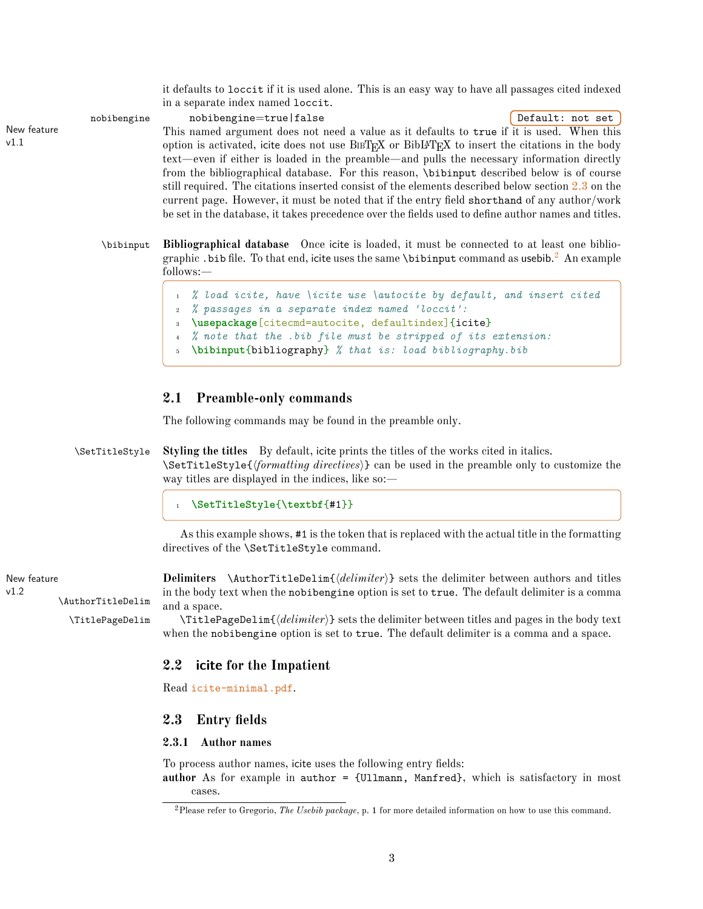<span id="page-2-8"></span>it defaults to loccit if it is used alone. This is an easy way to have all passages cited indexed in a separate index named loccit.

New feature

v1.1

nobibengine nobibengine=true|false **Default:** not set This named argument does not need a value as it defaults to true if it is used. When this option is activated, icite does not use  $BIBTFX$  or  $BIBTFX$  to insert the citations in the body text—even if either is loaded in the preamble—and pulls the necessary information directly from the bibliographical database. For this reason, \bibinput described below is of course still required. The citations inserted consist of the elements described below section [2.3](#page-2-5) on the current page. However, it must be noted that if the entry field shorthand of any author/work be set in the database, it takes precedence over the fields used to define author names and titles.

\bibinput **Bibliographical database** Once icite is loaded, it must be connected to at least one bibliographic . bib file. To that end, icite uses the same **\bibinput** command as usebib. $^2$  $^2$  An example follows:—

```
1 % load icite, have \icite use \autocite by default, and insert cited
  2 % passages in a separate index named 'loccit':
  3 \usepackage[citecmd=autocite, defaultindex]{icite}
4 % note that the .bib file must be stripped of its extension:
5 \bibinput{bibliography} % that is: load bibliography.bib
```
### <span id="page-2-1"></span>**2.1 Preamble-only commands**

<span id="page-2-2"></span>The following commands may be found in the preamble only.

\SetTitleStyle **Styling the titles** By default, icite prints the titles of the works cited in italics. \SetTitleStyle{h*formatting directives*i} can be used in the preamble only to customize the way titles are displayed in the indices, like so:—

#### <span id="page-2-11"></span><sup>1</sup> **\SetTitleStyle**{**\textbf**{#1}}

<span id="page-2-9"></span><span id="page-2-3"></span>As this example shows, #1 is the token that is replaced with the actual title in the formatting directives of the \SetTitleStyle command.

New feature **Delimiters** \AuthorTitleDelim{h*delimiter*i} sets the delimiter between authors and titles in the body text when the nobibengine option is set to true. The default delimiter is a comma and a space.

> \TitlePageDelim \TitlePageDelim{h*delimiter*i} sets the delimiter between titles and pages in the body text when the nobibengine option is set to true. The default delimiter is a comma and a space.

## <span id="page-2-12"></span><span id="page-2-4"></span>**2.2 icite for the Impatient**

Read [icite-minimal.pdf](#page-0-1).

### <span id="page-2-5"></span>**2.3 Entry fields**

#### <span id="page-2-6"></span>**2.3.1 Author names**

To process author names, icite uses the following entry fields: **author** As for example in author = {Ullmann, Manfred}, which is satisfactory in most cases.

 $v1.2$ 

\AuthorTitleDelim

<span id="page-2-7"></span><sup>2</sup>Please refer to Gregorio, *The Usebib package*, p. 1 for more detailed information on how to use this command.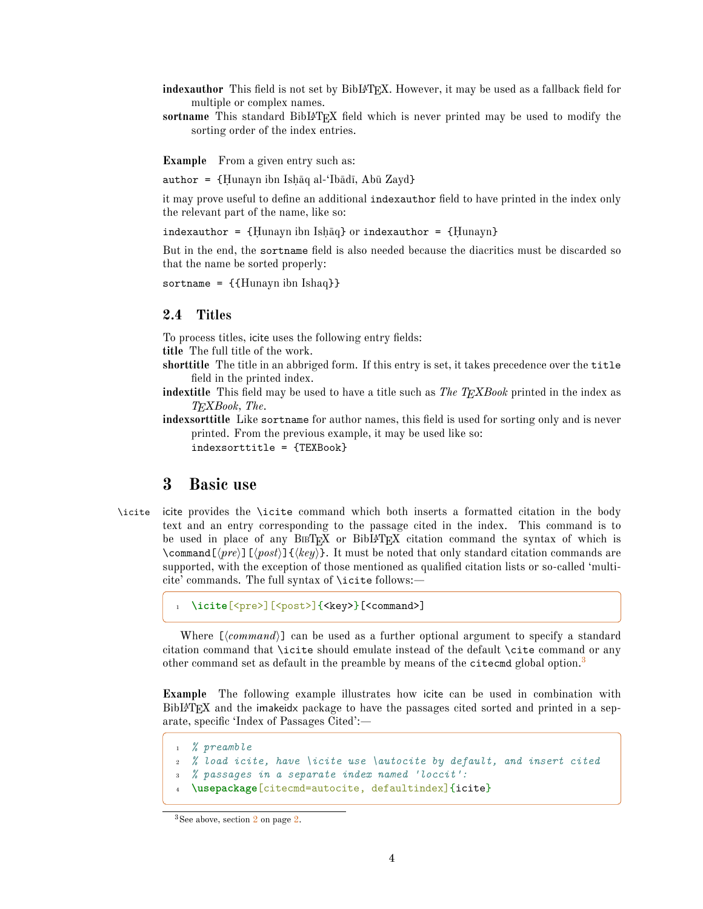- indexauthor This field is not set by BibL<sup>A</sup>T<sub>E</sub>X. However, it may be used as a fallback field for multiple or complex names.
- **sortname** This standard BibLAT<sub>E</sub>X field which is never printed may be used to modify the sorting order of the index entries.

<span id="page-3-0"></span>**Example** From a given entry such as:

author =  ${Hunayn ibn Ishāq al·Ibādī, Abū Zayd}$ 

it may prove useful to define an additional indexauthor field to have printed in the index only the relevant part of the name, like so:

indexauthor =  ${Hunayn ibn Ishāq}$  or indexauthor =  ${Hunayn}$ 

But in the end, the sortname field is also needed because the diacritics must be discarded so that the name be sorted properly:

sortname = {{Hunayn ibn Ishaq}}

### <span id="page-3-1"></span>**2.4 Titles**

To process titles, icite uses the following entry fields:

**title** The full title of the work.

- **shorttitle** The title in an abbriged form. If this entry is set, it takes precedence over the title field in the printed index.
- **indextitle** This field may be used to have a title such as *The TEXBook* printed in the index as *TEXBook, The*.
- **indexsorttitle** Like sortname for author names, this field is used for sorting only and is never printed. From the previous example, it may be used like so: indexsorttitle = {TEXBook}

### <span id="page-3-5"></span><span id="page-3-2"></span>**3 Basic use**

\icite icite provides the \icite command which both inserts a formatted citation in the body text and an entry corresponding to the passage cited in the index. This command is to be used in place of any BIBT<sub>EX</sub> or BibL<sup>A</sup>T<sub>EX</sub> citation command the syntax of which is \command  $[\langle pre \rangle]$  [ $\langle key \rangle$ ]. It must be noted that only standard citation commands are supported, with the exception of those mentioned as qualified citation lists or so-called 'multicite' commands. The full syntax of \icite follows:—

\icite[<pre>][<post>]{<key>}[<command>]

Where  $\lfloor \langle command \rangle \rfloor$  can be used as a further optional argument to specify a standard citation command that \icite should emulate instead of the default \cite command or any other command set as default in the preamble by means of the citecmd global option.<sup>[3](#page-3-4)</sup>

<span id="page-3-3"></span>**Example** The following example illustrates how icite can be used in combination with BibLAT<sub>EX</sub> and the imakeidx package to have the passages cited sorted and printed in a separate, specific 'Index of Passages Cited':—

```
1 % preamble
2 % load icite, have \icite use \autocite by default, and insert cited
3 % passages in a separate index named 'loccit':
  4 \usepackage[citecmd=autocite, defaultindex]{icite}
```
<span id="page-3-4"></span><sup>&</sup>lt;sup>3</sup>See above, section [2](#page-1-1) on page [2.](#page-1-1)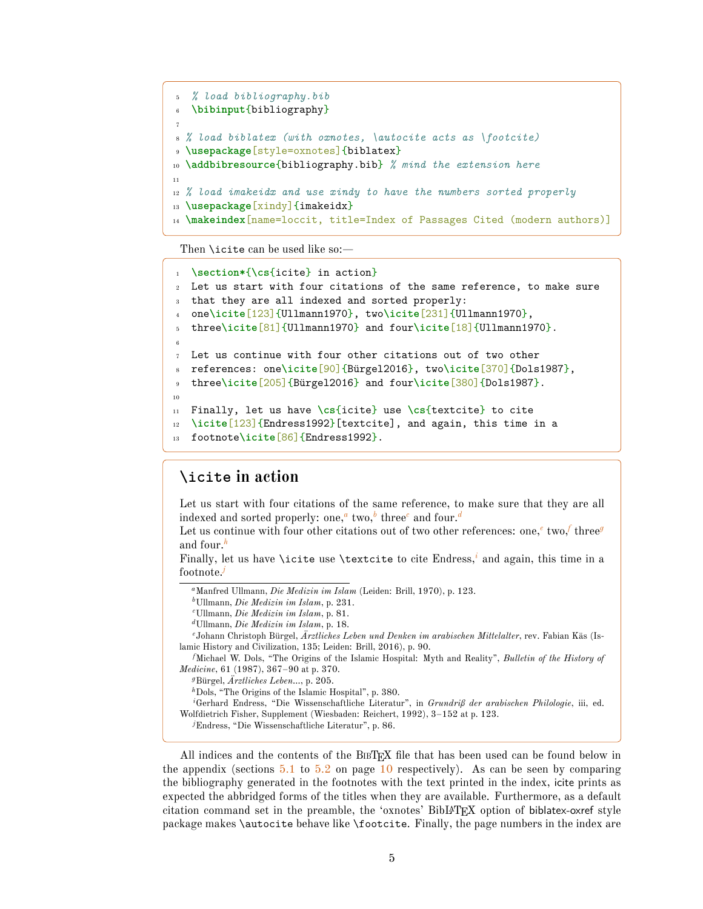```
5 % load bibliography.bib
6 \bibinput{bibliography}
7
8 % load biblatex (with oxnotes, \autocite acts as \footcite)
  9 \usepackage[style=oxnotes]{biblatex}
10 \addbibresource{bibliography.bib} % mind the extension here
11
12 % load imakeidx and use xindy to have the numbers sorted properly
13 \usepackage[xindy]{imakeidx}
14 \makeindex[name=loccit, title=Index of Passages Cited (modern authors)]
```
Then **\icite** can be used like so:—

```
1 \section*{\cs{icite} in action}
2 Let us start with four citations of the same reference, to make sure
   that they are all indexed and sorted properly:
   4 one\icite[123]{Ullmann1970}, two\icite[231]{Ullmann1970},
   5 three\icite[81]{Ullmann1970} and four\icite[18]{Ullmann1970}.
 6
7 Let us continue with four other citations out of two other
   8 references: one\icite[90]{Bürgel2016}, two\icite[370]{Dols1987},
   three\icite<sup>[205]{Bürgel2016} and four\icite<sup>[380]{Dols1987}.</sup></sup>
10
11 Finally, let us have \cs{icite} use \cs{textcite} to cite
12 \icite[123]{Endress1992}[textcite], and again, this time in a
13 footnote\icite[86]{Endress1992}.
```
### **\icite in action**

Let us start with four citations of the same reference, to make sure that they are all indexed [a](#page-4-0)n[d](#page-4-3) sorted properly: one, $\frac{a}{b}$  $\frac{a}{b}$  $\frac{a}{b}$  two, $\frac{b}{c}$  $\frac{b}{c}$  $\frac{b}{c}$  three $^c$  and four. $^d$ 

L[e](#page-4-4)t us continue with [f](#page-4-5)our other citations out of two other references: one,<sup>e</sup> two,<sup>f</sup> three<sup>*[g](#page-4-6)*</sup> and four.*[h](#page-4-7)*

Finally, let us have \icite use \textcite to cite Endress,*[i](#page-4-8)* and again, this time in a footnote.*[j](#page-4-9)*

<span id="page-4-1"></span>*<sup>b</sup>*Ullmann, *Die Medizin im Islam*, p. 231.

<span id="page-4-2"></span>*<sup>c</sup>*Ullmann, *Die Medizin im Islam*, p. 81.

```
dUllmann, Die Medizin im Islam, p. 18.
```
*<sup>e</sup>*Johann Christoph Bürgel, *Ärztliches Leben und Denken im arabischen Mittelalter*, rev. Fabian Käs (Islamic History and Civilization, 135; Leiden: Brill, 2016), p. 90.

<span id="page-4-5"></span>*<sup>f</sup>*Michael W. Dols, "The Origins of the Islamic Hospital: Myth and Reality", *Bulletin of the History of Medicine*, 61 (1987), 367–90 at p. 370.

<span id="page-4-6"></span>*<sup>g</sup>*Bürgel, *Ärztliches Leben…*, p. 205.

<span id="page-4-8"></span><span id="page-4-7"></span>*<sup>h</sup>*Dols, "The Origins of the Islamic Hospital", p. 380.

*<sup>i</sup>*Gerhard Endress, "Die Wissenschaftliche Literatur", in *Grundriß der arabischen Philologie*, iii, ed. Wolfdietrich Fisher, Supplement (Wiesbaden: Reichert, 1992), 3–152 at p. 123.

<span id="page-4-9"></span>*<sup>j</sup>*Endress, "Die Wissenschaftliche Literatur", p. 86.

All indices and the contents of the BIBTEX file that has been used can be found below in the appendix (sections  $5.1$  to  $5.2$  on page [10](#page-9-0) respectively). As can be seen by comparing the bibliography generated in the footnotes with the text printed in the index, icite prints as expected the abbridged forms of the titles when they are available. Furthermore, as a default citation command set in the preamble, the 'oxnotes' BibLATEX option of biblatex-oxref style package makes \autocite behave like \footcite. Finally, the page numbers in the index are

<span id="page-4-0"></span>*<sup>a</sup>*Manfred Ullmann, *Die Medizin im Islam* (Leiden: Brill, 1970), p. 123.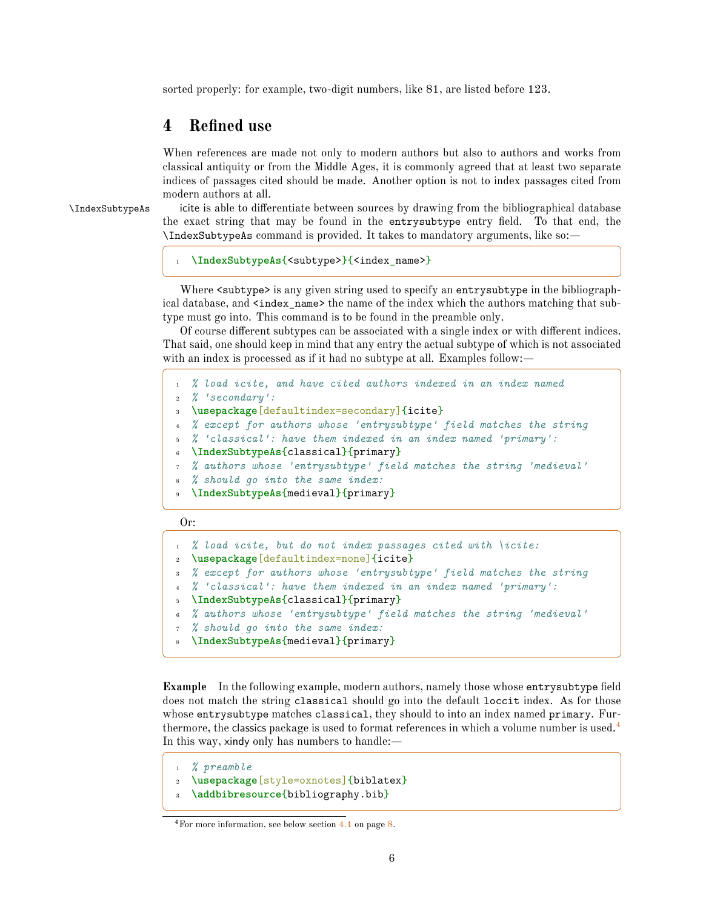sorted properly: for example, two-digit numbers, like 81, are listed before 123.

### <span id="page-5-0"></span>**4 Refined use**

When references are made not only to modern authors but also to authors and works from classical antiquity or from the Middle Ages, it is commonly agreed that at least two separate indices of passages cited should be made. Another option is not to index passages cited from modern authors at all.

\IndexSubtypeAs icite is able to differentiate between sources by drawing from the bibliographical database the exact string that may be found in the entrysubtype entry field. To that end, the \IndexSubtypeAs command is provided. It takes to mandatory arguments, like so:—

```
1 \IndexSubtypeAs{<subtype>}{<index_name>}
```
Where <subtype> is any given string used to specify an entry subtype in the bibliographical database, and <index\_name> the name of the index which the authors matching that subtype must go into. This command is to be found in the preamble only.

Of course different subtypes can be associated with a single index or with different indices. That said, one should keep in mind that any entry the actual subtype of which is not associated with an index is processed as if it had no subtype at all. Examples follow:-

```
1 % load icite, and have cited authors indexed in an index named
2 % 'secondary':
3 \usepackage[defaultindex=secondary]{icite}
4 % except for authors whose 'entrysubtype' field matches the string
5 % 'classical': have them indexed in an index named 'primary':
6 \IndexSubtypeAs{classical}{primary}
7 % authors whose 'entrysubtype' field matches the string 'medieval'
  8 % should go into the same index:
9 \IndexSubtypeAs{medieval}{primary}
```
Or:

```
1 % load icite, but do not index passages cited with \icite:
2 \usepackage[defaultindex=none]{icite}
3 % except for authors whose 'entrysubtype' field matches the string
4 % 'classical': have them indexed in an index named 'primary':
  5 \IndexSubtypeAs{classical}{primary}
6 % authors whose 'entrysubtype' field matches the string 'medieval'
7 % should go into the same index:
  8 \IndexSubtypeAs{medieval}{primary}
```
<span id="page-5-1"></span>**Example** In the following example, modern authors, namely those whose entrysubtype field does not match the string classical should go into the default loccit index. As for those whose entrysubtype matches classical, they should to into an index named primary. Furthermore, the classics package is used to format references in which a volume number is used. $4$ In this way, xindy only has numbers to handle:—

```
1 % preamble
  2 \usepackage[style=oxnotes]{biblatex}
  \addbibresource{bibliography.bib}
```
<span id="page-5-2"></span><sup>4</sup>For more information, see below section [4.1](#page-7-0) on page [8.](#page-7-0)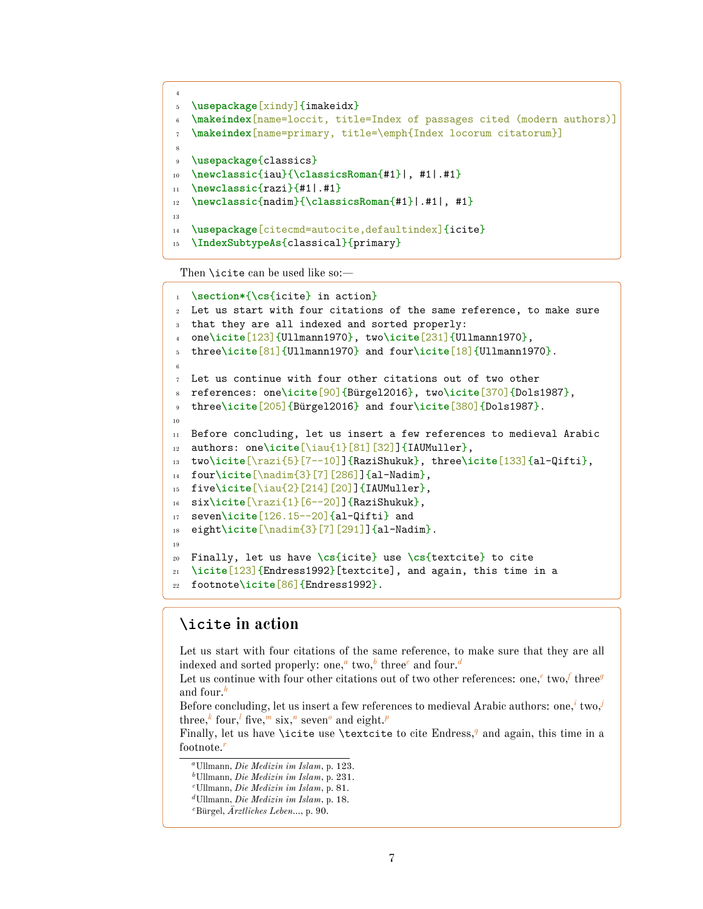```
4
5 \usepackage[xindy]{imakeidx}
   \makeindex[name=loccit, title=Index of passages cited (modern authors)]
7 \makeindex[name=primary, title=\emph{Index locorum citatorum}]
8
9 \usepackage{classics}
10 \newclassic{iau}{\classicsRoman{#1}|, #1|.#1}
11 \newclassic{razi}{#1|.#1}
12 \newclassic{nadim}{\classicsRoman{#1}|.#1|, #1}
13
14 \usepackage[citecmd=autocite,defaultindex]{icite}
15 \IndexSubtypeAs{classical}{primary}
```
Then **\icite** can be used like so:—

```
1 \section*{\cs{icite} in action}
2 Let us start with four citations of the same reference, to make sure
   that they are all indexed and sorted properly:
   4 one\icite[123]{Ullmann1970}, two\icite[231]{Ullmann1970},
   5 three\icite[81]{Ullmann1970} and four\icite[18]{Ullmann1970}.
 6
7 Let us continue with four other citations out of two other
   8 references: one\icite[90]{Bürgel2016}, two\icite[370]{Dols1987},
9 three\icite[205]{Bürgel2016} and four\icite[380]{Dols1987}.
10
11 Before concluding, let us insert a few references to medieval Arabic
12 authors: one\icite[\iau{1}[81][32]]{IAUMuller},
13 two\icite[\razi{5}[7--10]]{RaziShukuk}, three\icite[133]{al-Qifti},
14 four\icite[\nadim{3}[7][286]]{al-Nadim},
15 five\icite[\iau{2}[214][20]]{IAUMuller},
16 six\icite[\razi{1}[6--20]]{RaziShukuk},
17 seven\icite[126.15--20]{al-Qifti} and
18 eight\icite[\nadim{3}[7][291]]{al-Nadim}.
19
20 Finally, let us have \cs{icite} use \cs{textcite} to cite
21 \icite[123]{Endress1992}[textcite], and again, this time in a
  22 footnote\icite[86]{Endress1992}.
```
## **\icite in action**

Let us start with four citations of the same reference, to make sure that they are all indexed and sorted properly: one,*[a](#page-6-0)* two,*[b](#page-6-1)* three*[c](#page-6-2)* and four.*[d](#page-6-3)*

L[e](#page-6-4)t us continue with [f](#page-7-1)our other citations out of two other references: one,<sup>e</sup> two,<sup>f</sup> three<sup>*[g](#page-7-2)*</sup> and four.*[h](#page-7-3)*

Before concluding, let us insert a few references to medieval Arabic authors: one,*[i](#page-7-4)* two,*[j](#page-7-5)* three,*[k](#page-7-6)* four,*[l](#page-7-7)* five,*[m](#page-7-8)* six,*[n](#page-7-9)* seven*[o](#page-7-10)* and eight.*[p](#page-7-11)*

Finally, let us have \icite use \textcite to cite Endress,*[q](#page-7-12)* and again, this time in a footnote.*[r](#page-7-13)*

<span id="page-6-0"></span>*<sup>a</sup>*Ullmann, *Die Medizin im Islam*, p. 123.

<span id="page-6-1"></span>*<sup>b</sup>*Ullmann, *Die Medizin im Islam*, p. 231.

<span id="page-6-2"></span>*<sup>c</sup>*Ullmann, *Die Medizin im Islam*, p. 81.

<span id="page-6-3"></span>*<sup>d</sup>*Ullmann, *Die Medizin im Islam*, p. 18.

<span id="page-6-4"></span>*<sup>e</sup>*Bürgel, *Ärztliches Leben…*, p. 90.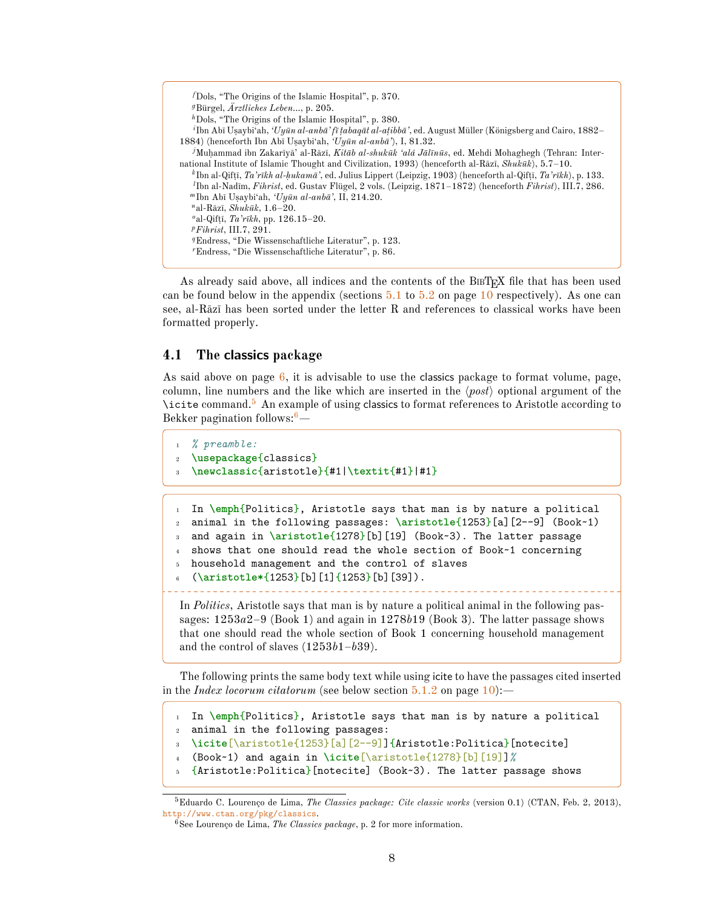<span id="page-7-7"></span><span id="page-7-6"></span><span id="page-7-5"></span><span id="page-7-4"></span><span id="page-7-3"></span><span id="page-7-2"></span><span id="page-7-1"></span>

| $t$ Dols, "The Origins of the Islamic Hospital", p. 370.                                                                                                                                                                                                                                                                                                  |
|-----------------------------------------------------------------------------------------------------------------------------------------------------------------------------------------------------------------------------------------------------------------------------------------------------------------------------------------------------------|
| <sup>g</sup> Bürgel, $\text{Arztliches}$ Leben, p. 205.                                                                                                                                                                                                                                                                                                   |
| ${}^h$ Dols, "The Origins of the Islamic Hospital", p. 380.                                                                                                                                                                                                                                                                                               |
| <sup>1</sup> Ibn Abī Usaybi'ah, ' $Uy\bar{u}n al-anb\bar{a}'$ 'fī tabagāt al-atibbā', ed. August Müller (Königsberg and Cairo, 1882                                                                                                                                                                                                                       |
| 1884) (henceforth Ibn Abī Usaybi'ah, ' $U_{V}$ <i>ūn al-anbū</i> '), I, 81.32.                                                                                                                                                                                                                                                                            |
| <sup>j</sup> Muhammad ibn Zakarīyā' al-Rāzī, Kitāb al-shukūk 'alá Jālīnūs, ed. Mehdi Mohaghegh (Tehran: Inter-                                                                                                                                                                                                                                            |
| national Institute of Islamic Thought and Civilization, 1993) (henceforth al-Rāzī, Shukūk), $5.7-10$ .                                                                                                                                                                                                                                                    |
| <sup>k</sup> Ibn al-Qifti, Ta'rīkh al-hukamā', ed. Julius Lippert (Leipzig, 1903) (henceforth al-Qifti, Ta'rīkh), p. 133.                                                                                                                                                                                                                                 |
| <sup><i>I</i></sup> Ibn al-Nadīm, <i>Fihrist</i> , ed. Gustav Flügel, 2 vols. (Leipzig, 1871–1872) (henceforth <i>Fihrist</i> ), III.7, 286.                                                                                                                                                                                                              |
| "Ibn Abī Usaybi'ah, ' $Uy\bar{u}n$ al-anbā', II, 214.20.                                                                                                                                                                                                                                                                                                  |
| "al-Rāzī, Shukūk, $1.6-20$ .                                                                                                                                                                                                                                                                                                                              |
| <sup>o</sup> al-Qifti, <i>Ta'rikh</i> , pp. 126.15–20.                                                                                                                                                                                                                                                                                                    |
| $\frac{p_{\text{F} }-p_{\text{F} }-p_{\text{F} }-p_{\text{F} }-p_{\text{F} }-p_{\text{F} }-p_{\text{F} }-p_{\text{F} }-p_{\text{F} }-p_{\text{F} }-p_{\text{F} }-p_{\text{F} }-p_{\text{F} }-p_{\text{F} }-p_{\text{F} }-p_{\text{F} }-p_{\text{F} }-p_{\text{F} }-p_{\text{F} }-p_{\text{F} }-p_{\text{F} }-p_{\text{F} }-p_{\text{F} }-p_{\text{F} }-p$ |
| <sup>q</sup> Endress, "Die Wissenschaftliche Literatur", p. 123.                                                                                                                                                                                                                                                                                          |
| "Endress, "Die Wissenschaftliche Literatur", p. 86.                                                                                                                                                                                                                                                                                                       |

<span id="page-7-13"></span><span id="page-7-12"></span><span id="page-7-11"></span><span id="page-7-10"></span><span id="page-7-9"></span><span id="page-7-8"></span>As already said above, all indices and the contents of the BIBT<sub>EX</sub> file that has been used can be found below in the appendix (sections  $5.1$  to  $5.2$  on page [10](#page-9-0) respectively). As one can see, al-Rāzī has been sorted under the letter R and references to classical works have been formatted properly.

#### <span id="page-7-0"></span>**4.1 The classics package**

As said above on page  $6$ , it is advisable to use the classics package to format volume, page, column, line numbers and the like which are inserted in the  $\langle post \rangle$  optional argument of the \icite command.[5](#page-7-14) An example of using classics to format references to Aristotle according to Bekker pagination follows:  $6$ -

```
1 % preamble:
2 \usepackage{classics}
  3 \newclassic{aristotle}{#1|\textit{#1}|#1}
```

```
In \emph{Politics}, Aristotle says that man is by nature a political
2 animal in the following passages: \aristotle{1253}[a][2--9] (Book~1)
  and again in \aristotle{1278}[b][19] (Book~3). The latter passage
  shows that one should read the whole section of Book~1 concerning
5 household management and the control of slaves
   6 (\aristotle*{1253}[b][1]{1253}[b][39]).
In Politics, Aristotle says that man is by nature a political animal in the following pas-
```
sages: 1253*a*2–9 (Book 1) and again in 1278*b*19 (Book 3). The latter passage shows that one should read the whole section of Book 1 concerning household management and the control of slaves (1253*b*1–*b*39).

The following prints the same body text while using icite to have the passages cited inserted in the *Index locorum citatorum* (see below section [5.1.2](#page-9-2) on page [10\)](#page-9-2):—

```
1 In \emph{Politics}, Aristotle says that man is by nature a political
```
<sup>2</sup> animal in the following passages:

```
3 \icite[\aristotle{1253}[a][2--9]]{Aristotle:Politica}[notecite]
```
- <sup>4</sup> (Book~1) and again in **\icite**[\aristotle{1278}[b][19]]*%*
- <sup>5</sup> {Aristotle:Politica}[notecite] (Book~3). The latter passage shows

<span id="page-7-14"></span><sup>5</sup>Eduardo C. Lourenço de Lima, *The Classics package: Cite classic works* (version 0.1) (CTAN, Feb. 2, 2013), <http://www.ctan.org/pkg/classics>.

<span id="page-7-15"></span><sup>6</sup>See Lourenço de Lima, *The Classics package*, p. 2 for more information.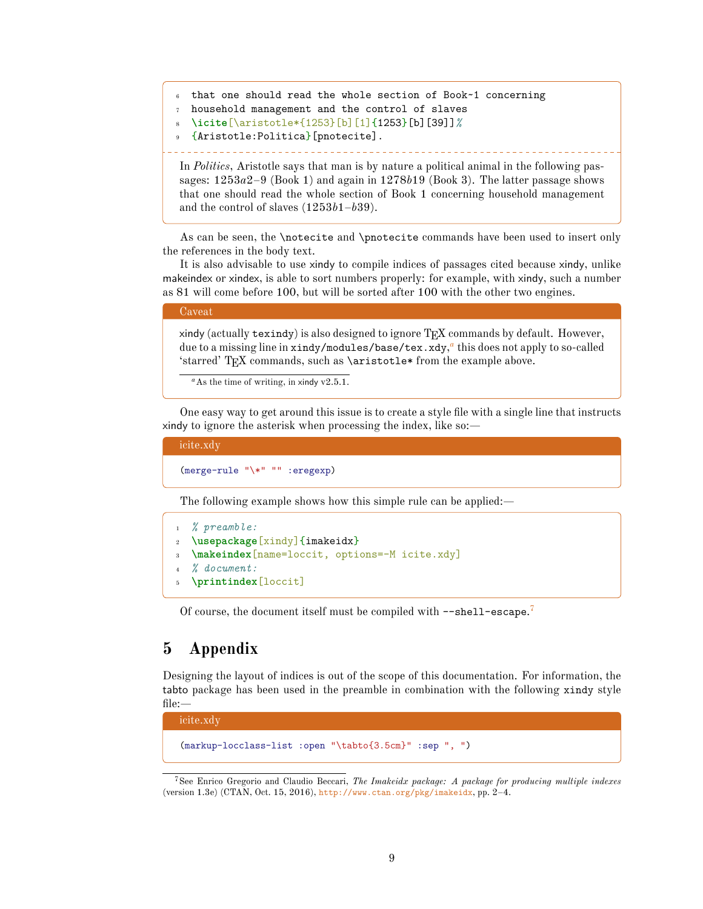```
that one should read the whole section of Book~1 concerning
```

```
7 household management and the control of slaves
```

```
8 \icite[\aristotle*{1253}[b][1]{1253}[b][39]]%
```

```
9 {Aristotle:Politica}[pnotecite].
```
In *Politics*, Aristotle says that man is by nature a political animal in the following passages: 1253*a*2–9 (Book 1) and again in 1278*b*19 (Book 3). The latter passage shows that one should read the whole section of Book 1 concerning household management and the control of slaves (1253*b*1–*b*39).

As can be seen, the \notecite and \pnotecite commands have been used to insert only the references in the body text.

It is also advisable to use xindy to compile indices of passages cited because xindy, unlike makeindex or xindex, is able to sort numbers properly: for example, with xindy, such a number as 81 will come before 100, but will be sorted after 100 with the other two engines.

#### Caveat

xindy (actually texindy) is also designed to ignore  $TEX$  commands by default. However, due to a missing line in xindy/modules/base/tex.xdy, *[a](#page-8-1)* this does not apply to so-called 'starred' TEX commands, such as \aristotle\* from the example above.

<span id="page-8-1"></span> $a$ As the time of writing, in xindy v2.5.1.

One easy way to get around this issue is to create a style file with a single line that instructs xindy to ignore the asterisk when processing the index, like so:—

```
icite.xdy
```
(merge-rule "\\*" "" :eregexp)

The following example shows how this simple rule can be applied:—

```
1 % preamble:
2 \usepackage[xindy]{imakeidx}
3 \makeindex[name=loccit, options=-M icite.xdy]
4 % document:
5 \printindex[loccit]
```
Of course, the document itself must be compiled with --shell-escape.<sup>[7](#page-8-2)</sup>

# <span id="page-8-0"></span>**5 Appendix**

Designing the layout of indices is out of the scope of this documentation. For information, the tabto package has been used in the preamble in combination with the following xindy style file:—

icite.xdy (markup-locclass-list :open "\tabto{3.5cm}" :sep ", ")

<span id="page-8-2"></span><sup>7</sup>See Enrico Gregorio and Claudio Beccari, *The Imakeidx package: A package for producing multiple indexes* (version 1.3e) (CTAN, Oct. 15, 2016), <http://www.ctan.org/pkg/imakeidx>, pp. 2–4.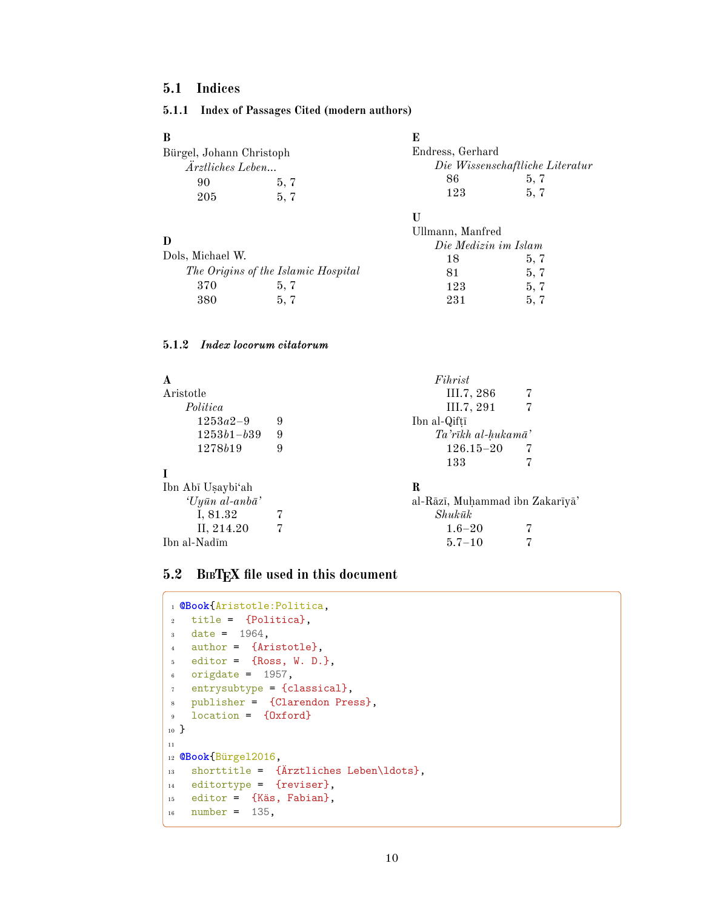# <span id="page-9-0"></span>**5.1 Indices**

### <span id="page-9-1"></span>**5.1.1 Index of Passages Cited (modern authors)**

| B                        |      | Е                |                                 |
|--------------------------|------|------------------|---------------------------------|
| Bürgel, Johann Christoph |      | Endress, Gerhard |                                 |
| Ärztliches Leben         |      |                  | Die Wissenschaftliche Literatur |
| 90                       | 5, 7 | 86               | 5, 7                            |
| 205                      | 5.7  | 123              | 5, 7                            |
|                          |      |                  |                                 |

Ullmann, Manfred

#### **D**

ſ

|                  |                                     | Die Medizin im Islam |      |
|------------------|-------------------------------------|----------------------|------|
| Dols, Michael W. |                                     | 18                   | 5, 7 |
|                  | The Origins of the Islamic Hospital | 81                   | 5, 7 |
| 370              | 5.7                                 | 123                  | 5, 7 |
| 380              | 5.7                                 | 231                  | 5.7  |

### <span id="page-9-2"></span>**5.1.2** *Index locorum citatorum*

| A                 |   | Fihrist                         |
|-------------------|---|---------------------------------|
| Aristotle         |   | III.7, 286                      |
| Politica          |   | III.7, 291                      |
| $1253a2-9$        | 9 | Ibn al-Qiftī                    |
| $1253b1-b39$      | 9 | Ta'rīkh al-hukamā'              |
| 1278b19           | 9 | $126.15 - 20$                   |
|                   |   | 133                             |
|                   |   |                                 |
| Ibn Abī Uṣaybi'ah |   | R                               |
| 'Uyūn al-anbā'    |   | al-Rāzī, Muḥammad ibn Zakarīyā' |
| I, 81.32          |   | $Shuk\bar{u}k$                  |
| II, 214.20        |   | $1.6 - 20$                      |
| Ibn al-Nadīm      |   | $5.7 - 10$                      |
|                   |   |                                 |

# <span id="page-9-3"></span>**5.2 BIBTEX file used in this document**

|                | 1 @Book{Aristotle:Politica,                 |
|----------------|---------------------------------------------|
| $\overline{2}$ | $title = {Politica}$ ,                      |
| 3 <sup>1</sup> | $date = 1964.$                              |
| $\overline{4}$ | author = {Aristotle},                       |
| $5 -$          | editor = ${Ross, W. D.}$ ,                  |
|                | origdate = $1957$ ,<br>$6\qquad$            |
| $\overline{7}$ | entrysubtype = {classical},                 |
| 8              | publisher = {Clarendon Press},              |
| $\overline{9}$ | $location = \{0xford\}$                     |
| $_{10}$ }      |                                             |
| 11             |                                             |
|                | <sup>12</sup> @Book{Bürgel2016,             |
| 13             | shorttitle = $\{Arztliches Leben\ldots\},\$ |
|                | $_{14}$ editortype = {reviser},             |
|                | $_{15}$ editor = {Käs, Fabian},             |
| 16             | $number = 135$ ,                            |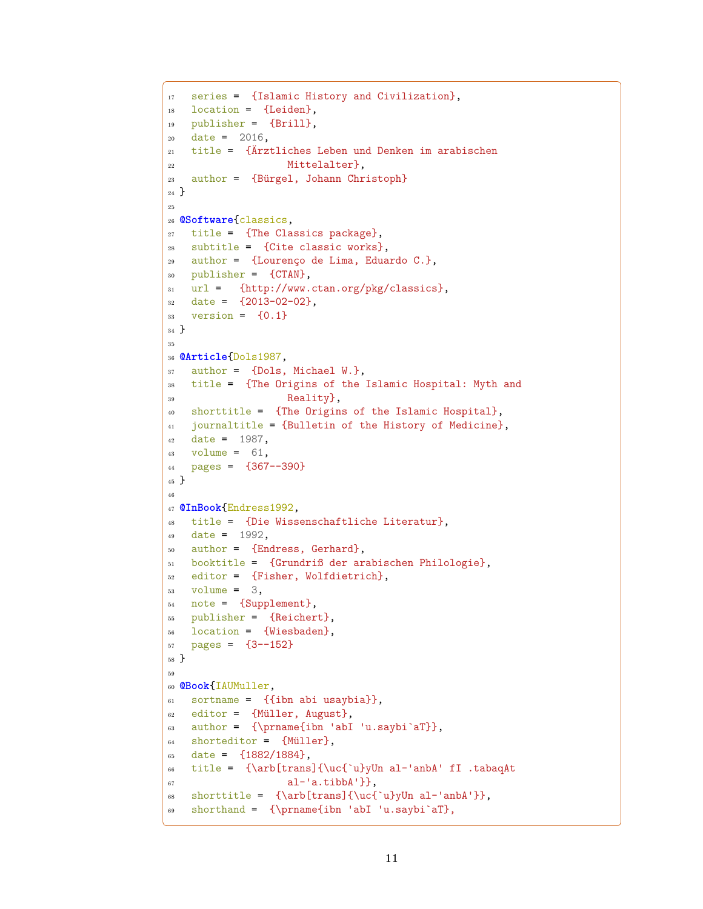```
17 series = {Islamic History and Civilization},
18 location = {Leiden},
19 publisher = {Brill},
20 \text{ date} = 2016,21 title = {Ärztliches Leben und Denken im arabischen
<sup>22</sup> Mittelalter},
23 author = {Bürgel, Johann Christoph}24 }
25
26 @Software{classics,
27 title = {The Classics package},
28 subtitle = {Cite classic works},
29 author = {Lourenço de Lima, Eduardo C.},
30 publisher = {CTAN},
31 url = {http://www.ctan.org/pkg/classics},
32 date = {2013-02-02},
33 version = {0.1}34 }
35
36 @Article{Dols1987,
37 author = {Dols, Michael W.},
38 title = {The Origins of the Islamic Hospital: Myth and
39 Reality},
40 shorttitle = {The Origins of the Islamic Hospital},
41 journaltitle = {Bulletin of the History of Medicine},
42 date = 1987,
43 volume = 61,
44 pages = {367--390}
45 }
46
47 @InBook{Endress1992,
48 title = {Die Wissenschaftliche Literatur},
49 date = 1992,
50 author = {Endress, Gerhard},
51 booktitle = {Grundriß der arabischen Philologie},
52 editor = {Fisher, Wolfdietrich},
_{53} volume = 3,
54 note = {Supplement},
55 publisher = {Reichert},
56 location = {Wiesbaden},
57 \quad pages = \{3--152\}58 }
59
60 @Book{IAUMuller,
61 sortname = \{\{\text{ibn abi usaybia}\}\}\,,
62 editor = {Müller, August},
63 author = {\prime\abla} abI 'u.saybi'aT}},
64 shorteditor = {Müller},
65 date = \{1882/1884\},
66 title = {\arb[trans]{\uc{`u}yUn al-'anbA' fI .tabaqAt
67 al='a.tibbA'],
68 shorttitle = {\arb[trans] {\ucceq {\ab}yUn al-'anbA'}},69 shorthand = {\prname{ibn 'abI 'u.saybi`aT},
```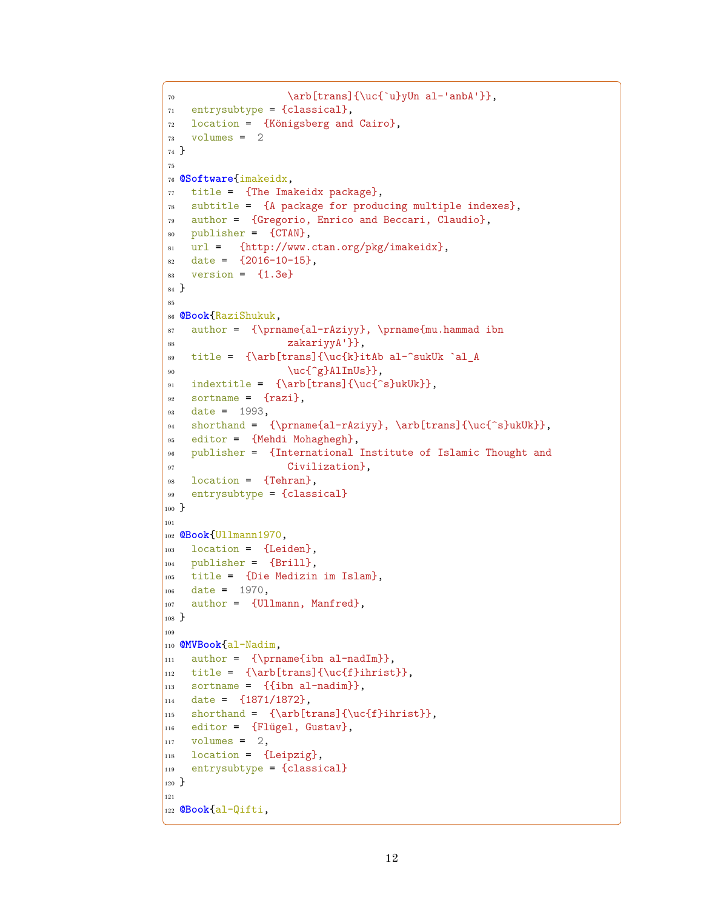```
70 \arb[trans]{\uc{`u}yUn al-'anbA'}},
71 entrysubtype = {classical},
72 location = {Königsberg and Cairo},
73 volumes = 2
74 }
75
76 @Software{imakeidx,
77 title = {The Imakeidx package},
78 subtitle = {A package for producing multiple indexes},
79 author = {Gregorio, Enrico and Beccari, Claudio},
so publisher = {CTAN},
\text{sn} url = {http://www.ctan.org/pkg/imakeidx},
82 date = {2016-10-15},
s3 version = {1.3e}84 }
85
86 @Book{RaziShukuk,
\text{s} author = {\prname{al-rAziyy}, \prname{mu.hammad ibn
88 zakariyyA'}},
89 title = {\arb[trans]{\uc{k}itAb al-^sukUk `al_A
90 \ucceq \ucceq \ucceq \ucceq \cdots91 indextitle = {\arb[trans]}{\ucceq^s}ukUk},
92 sortname = \{razil\},
93 date = 1993,
\text{shorthand} = {\prime\al-rAzipy}, \arb[trans]({\uc0\c}lukUk},95 editor = {Mehdi Mohaghegh},
96 publisher = {International Institute of Islamic Thought and
97 Civilization B,
98 location = {Tehran},
99 entrysubtype = {classical}
_{100} }
101
102 @Book{Ullmann1970,
103 location = {Leiden},
_{104} publisher = {Brill},
_{105} title = {Die Medizin im Islam},
106 date = 1970,
\begin{bmatrix} 107 \\ 201 \end{bmatrix} author = {Ullmann, Manfred},
108 }
109110 @MVBook{al-Nadim,
_{111} author = {\prname{ibn al-nadIm}},
_{112} title = {\arb[trans]{\uc{f}ihrist}},
_{113} sortname = \{\{\text{ibn al-nadim}\}\}\,,
_{114} date = \{1871/1872\},
_{115} shorthand = {\arb[trans]{\uc{f}ihrist}},
116 editor = {Flügel, Gustav},
_{117} volumes = 2,
118 location = {Leipzig},
119 entrysubtype = {classical}
120 }
121
122 @Book{al-Qifti,
```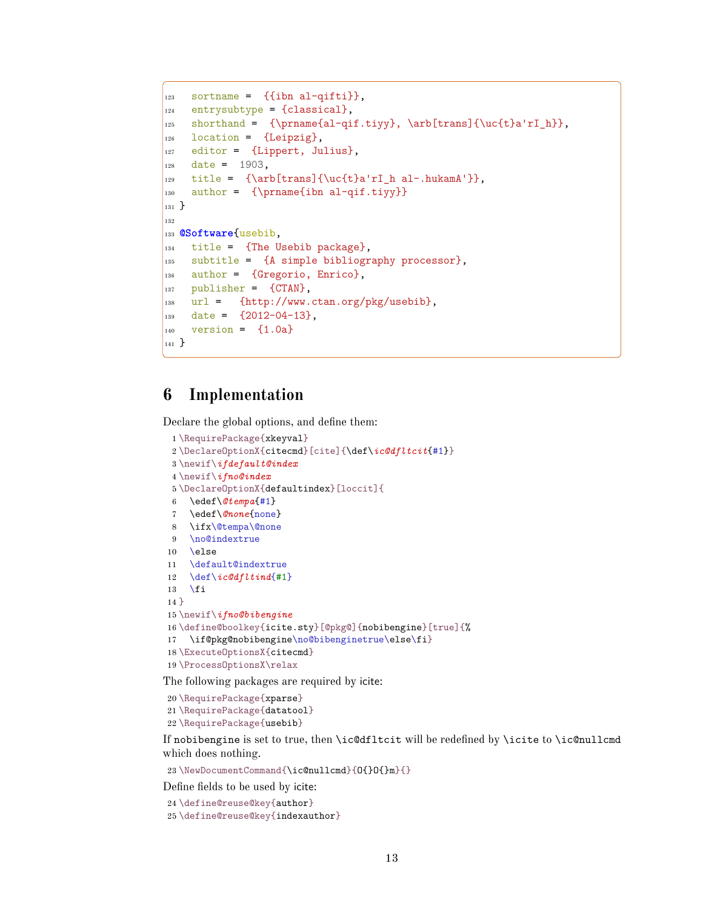```
123 sortname = \{\{\text{ibn al-qifti}\}\}\,_{124} entrysubtype = {classical},
125 shorthand = {\prname{al-qif.tiyy}, \arb[trans]{\uc{t}a'rI_h}},
126 location = {Leipzig},
127 editor = {Lippert, Julius},
128 date = 1903,
129 title = {\arb[trans]{\uc{t}a'rI h al-.hukamA'}},
_{130} author = {\prname{ibn al-qif.tiyy}}
_{131} }
132
133 @Software{usebib,
_{134} title = {The Usebib package},
_{135} subtitle = {A simple bibliography processor},
136 author = {Gregorio, Enrico},
_{137} publisher = {CTAN},
138 url = {http://www.ctan.org/pkg/usebib},
_{139} date = {2012-04-13},
|_{140} version = \{1.0a\}_{141} }
```
# <span id="page-12-0"></span>**6 Implementation**

Declare the global options, and define them:

```
1 \RequirePackage{xkeyval}
2 \DeclareOptionX{citecmd}[cite]{\def\ic@dfltcit{#1}}
3 \newif\ifdefault@index
4 \newif\ifno@index
5 \DeclareOptionX{defaultindex}[loccit]{
6 \edef\@tempa{#1}
7 \edef\@none{none}
8 \ifx\@tempa\@none
9 \no@indextrue
10 \else
11 \default@indextrue
12 \def\ic@dfltind{#1}
13 \fi
14 }
15 \newif\ifno@bibengine
16 \define@boolkey{icite.sty}[@pkg@]{nobibengine}[true]{%
17 \if@pkg@nobibengine\no@bibenginetrue\else\fi}
18 \ExecuteOptionsX{citecmd}
19 \ProcessOptionsX\relax
```
The following packages are required by icite:

```
20 \RequirePackage{xparse}
21 \RequirePackage{datatool}
22 \RequirePackage{usebib}
```
If nobibengine is set to true, then \ic@dfltcit will be redefined by \icite to \ic@nullcmd which does nothing.

\NewDocumentCommand{\ic@nullcmd}{O{}O{}m}{}

Define fields to be used by icite:

```
24 \define@reuse@key{author}
```
\define@reuse@key{indexauthor}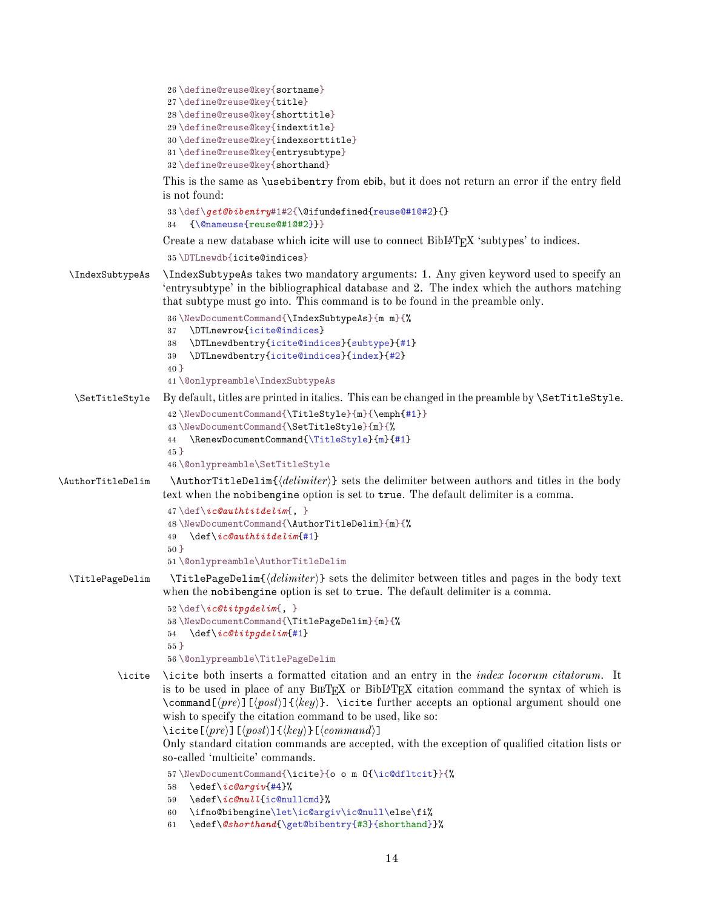```
26 \define@reuse@key{sortname}
27 \define@reuse@key{title}
28 \define@reuse@key{shorttitle}
29 \define@reuse@key{indextitle}
30 \define@reuse@key{indexsorttitle}
31 \define@reuse@key{entrysubtype}
32 \define@reuse@key{shorthand}
```
<span id="page-13-15"></span><span id="page-13-14"></span>This is the same as \usebibentry from ebib, but it does not return an error if the entry field is not found:

```
33 \def\get@bibentry#1#2{\@ifundefined{reuse@#1@#2}{}
34 {\@nameuse{reuse@#1@#2}}}
```
Create a new database which icite will use to connect BibL<sup>AT</sup>EX 'subtypes' to indices.

```
35 \DTLnewdb{icite@indices}
```
\IndexSubtypeAs \IndexSubtypeAs takes two mandatory arguments: 1. Any given keyword used to specify an 'entrysubtype' in the bibliographical database and 2. The index which the authors matching that subtype must go into. This command is to be found in the preamble only.

```
36 \NewDocumentCommand{\IndexSubtypeAs}{m m}{%
                    37 \DTLnewrow{icite@indices}
                    38 \DTLnewdbentry{icite@indices}{subtype}{#1}
                    39 \DTLnewdbentry{icite@indices}{index}{#2}
                    40 }
                    41 \@onlypreamble\IndexSubtypeAs
   \SetTitleStyle By default, titles are printed in italics. This can be changed in the preamble by \SetTitleStyle.
                    42 \NewDocumentCommand{\TitleStyle}{m}{\emph{#1}}
                    43 \NewDocumentCommand{\SetTitleStyle}{m}{%
                     44 \RenewDocumentCommand{\TitleStyle}{m}{#1}
                    45 }
                    46 \@onlypreamble\SetTitleStyle
\AuthorTitleDelim \AuthorTitleDelim{hdelimiteri} sets the delimiter between authors and titles in the body
                    text when the nobibengine option is set to true. The default delimiter is a comma.
                     47 \def\ic@authtitdelim{, }
                     48 \NewDocumentCommand{\AuthorTitleDelim}{m}{%
                     49 \def\ic@authtitdelim{#1}
                     50 }
                    51 \@onlypreamble\AuthorTitleDelim
 \TitlePageDelim \TitlePageDelim{hdelimiteri} sets the delimiter between titles and pages in the body text
                    when the nobibengine option is set to true. The default delimiter is a comma.
                     52 \def\ic@titpgdelim{, }
                    53 \NewDocumentCommand{\TitlePageDelim}{m}{%
                    54 \def\ic@titpgdelim{#1}
                    55 }
                    56 \@onlypreamble\TitlePageDelim
           \icite \icite both inserts a formatted citation and an entry in the index locorum citatorum. It
                    is to be used in place of any BIBT_FX or BibI\rightarrow T_KX citation command the syntax of which is
```
<span id="page-13-32"></span><span id="page-13-29"></span><span id="page-13-25"></span><span id="page-13-13"></span><span id="page-13-12"></span><span id="page-13-11"></span><span id="page-13-10"></span><span id="page-13-9"></span><span id="page-13-6"></span><span id="page-13-5"></span> $\mathrm{dommand}[\langle pre \rangle]\left[\langle post \rangle\right].$  \icite further accepts an optional argument should one wish to specify the citation command to be used, like so: \icite[ $\langle pre \rangle$ ][ $\langle post \rangle$ ]{ $\langle key \rangle$ }[ $\langle command \rangle$ ]

Only standard citation commands are accepted, with the exception of qualified citation lists or so-called 'multicite' commands.

```
57 \NewDocumentCommand{\icite}{o o m O{\ic@dfltcit}}{%
```
- <span id="page-13-20"></span>\edef\*ic@argiv*{#4}%
- <span id="page-13-21"></span>\edef\*ic@null*{ic@nullcmd}%
- <span id="page-13-22"></span>\ifno@bibengine\let\ic@argiv\ic@null\else\fi%
- <span id="page-13-7"></span>\edef\*@shorthand*{\get@bibentry{#3}{shorthand}}%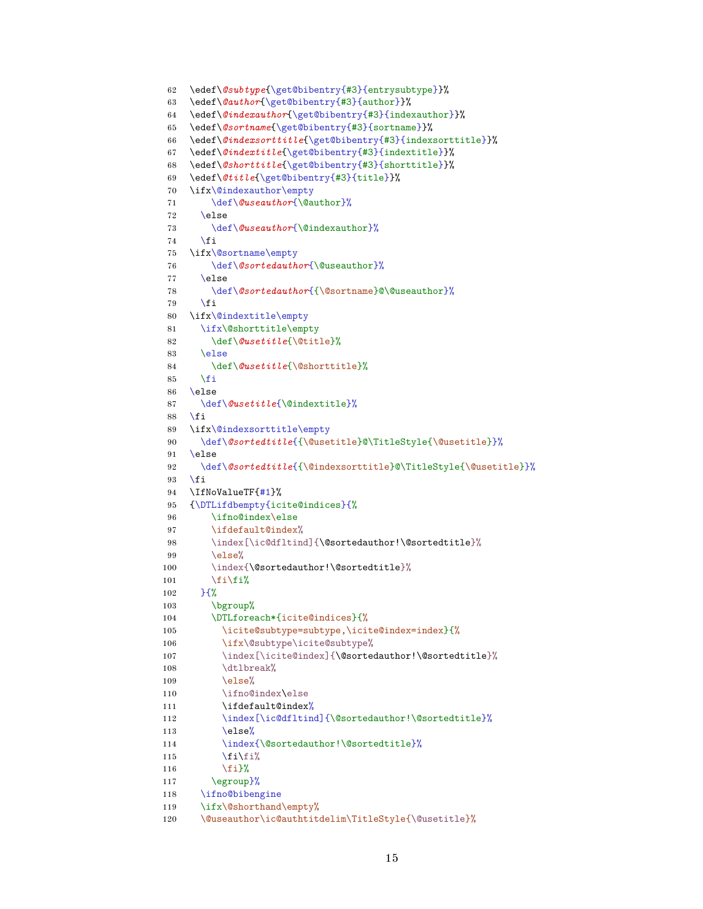```
62 \edef\@subtype{\get@bibentry{#3}{entrysubtype}}%
63 \edef\@author{\get@bibentry{#3}{author}}%
64 \edef\@indexauthor{\get@bibentry{#3}{indexauthor}}%
65 \edef\@sortname{\get@bibentry{#3}{sortname}}%
66 \edef\@indexsorttitle{\get@bibentry{#3}{indexsorttitle}}%
67 \edef\@indextitle{\get@bibentry{#3}{indextitle}}%
68 \edef\@shorttitle{\get@bibentry{#3}{shorttitle}}%
69 \edef\@title{\get@bibentry{#3}{title}}%
70 \ifx\@indexauthor\empty
71 \def\@useauthor{\@author}%
72 \else
73 \def\@useauthor{\@indexauthor}%
74 \fi
75 \ifx\@sortname\empty
76 \def\@sortedauthor{\@useauthor}%
77 \else
78 \def\@sortedauthor{{\@sortname}@\@useauthor}%
79 \fi
80 \ifx\@indextitle\empty
81 \ifx\@shorttitle\empty
82 \def\@usetitle{\@title}%
83 \else
84 \def\@usetitle{\@shorttitle}%
85 \fi
86 \else
87 \def\@usetitle{\@indextitle}%
88 \fi
89 \ifx\@indexsorttitle\empty
90 \def\@sortedtitle{{\@usetitle}@\TitleStyle{\@usetitle}}%
91 \else
92 \def\@sortedtitle{{\@indexsorttitle}@\TitleStyle{\@usetitle}}%
93 \fi
94 \IfNoValueTF{#1}%
95 {\DTLifdbempty{icite@indices}{%
96 \ifno@index\else
97 \ifdefault@index%
98 \index[\ic@dfltind]{\@sortedauthor!\@sortedtitle}%
99 \angle 99100 \index{\@sortedauthor!\@sortedtitle}%
101 \ifmmode \big\vert\else\fi\fi\fi\fi102 }{%
103 \bgroup%
104 \DTLforeach*{icite@indices}{%
105 \icite@subtype=subtype,\icite@index=index}{%
106 \ifx\@subtype\icite@subtype%
107 \index[\icite@index]{\@sortedauthor!\@sortedtitle}%
108 \dtlbreak%
109 \qquad \text{else}%
110 \ifno@index\else
111 \ifdefault@index%
112 \index[\ic@dfltind]{\@sortedauthor!\@sortedtitle}%
113 \else%
114 \index{\@sortedauthor!\@sortedtitle}%
115 \text{Hil}116 \{f_i\}%
117 \egroup}%
118 \ifno@bibengine
119 \ifx\@shorthand\empty%
120 \@useauthor\ic@authtitdelim\TitleStyle{\@usetitle}%
```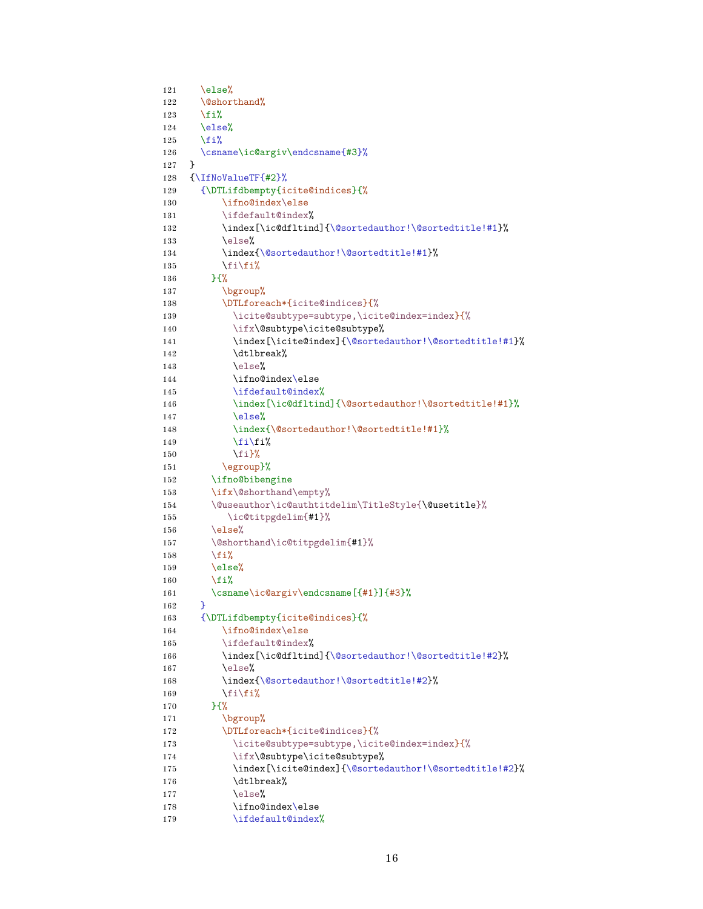```
121 \else%
122 \@shorthand%
123 \overline{\text{ifi}}124 \else%
125 \overline{\text{ifi}}126 \csname\ic@argiv\endcsname{#3}%
127 }
128 {\IfNoValueTF{#2}%
129 {\DTLifdbempty{icite@indices}{%
130 \ifno@index\else
131 \ifdefault@index%
132 \index[\ic@dfltind]{\@sortedauthor!\@sortedtitle!#1}%
133 \else%
134 \index{\@sortedauthor!\@sortedtitle!#1}%
135 \fi\fi%
136 }{%
137 \bgroup%
138 \DTLforeach*{icite@indices}{%
139 \icite@subtype=subtype,\icite@index=index}{%
140 \ifx\@subtype\icite@subtype%
141 \index[\icite@index]{\@sortedauthor!\@sortedtitle!#1}%
142 \dtlbreak%
143 \else%
144 \ifno@index\else
145 \ifdefault@index%
146 \index[\ic@dfltind]{\@sortedauthor!\@sortedtitle!#1}%
147 \else%
148 \index{\@sortedauthor!\@sortedtitle!#1}%
149 \fi\fi%
150 \{f_i\}%
151 \egroup}%
152 \ifno@bibengine
153 \ifx\@shorthand\empty%
154 \@useauthor\ic@authtitdelim\TitleStyle{\@usetitle}%
155 \ic@titpgdelim{#1}%
156 \text{else\text{\textbackslash}}157 \@shorthand\ic@titpgdelim{#1}%
158 \overline{158}159 \else%
160 \quad \text{if } \lambda161 \csname\ic@argiv\endcsname[{#1}]{#3}%
162 }
163 {\DTLifdbempty{icite@indices}{%
164 \ifno@index\else
165 \ifdefault@index%
166 \index[\ic@dfltind]{\@sortedauthor!\@sortedtitle!#2}%
167 \text{e} \text{1se}168 \index{\@sortedauthor!\@sortedtitle!#2}%
169 \fi\fi%
170 }{%
171 \bgroup%
172 \DTLforeach*{icite@indices}{%
173 \icite@subtype=subtype,\icite@index=index}{%
174 \ifx\@subtype\icite@subtype%
175 \index[\icite@index]{\@sortedauthor!\@sortedtitle!#2}%
176 \dtlbreak%
177 \else%
178 \ifno@index\else
179 \ifdefault@index%
```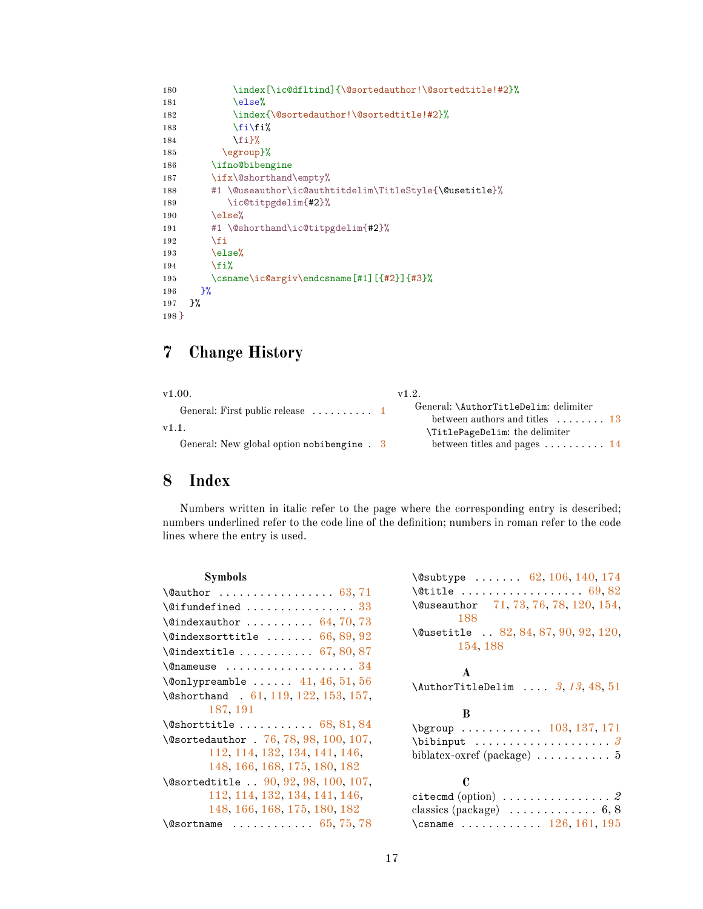```
180 \index[\ic@dfltind]{\@sortedauthor!\@sortedtitle!#2}%
181 \else%
182 \index{\@sortedauthor!\@sortedtitle!#2}%
183 \fi\fi%
184 \fi}%
185 \egroup}%
186 \ifno@bibengine
187 \ifx\@shorthand\empty%
188 #1 \@useauthor\ic@authtitdelim\TitleStyle{\@usetitle}%
189 \ic@titpgdelim{#2}%
190 \text{ \textdegree}191 #1 \@shorthand\ic@titpgdelim{#2}%
192 \qquad \qquad \fi
193 \else%
194 \overline{\text{19}}195 \csname\ic@argiv\endcsname[#1][{#2}]{#3}%
196 }%
197 }%
198 }
```
# <span id="page-16-15"></span><span id="page-16-14"></span><span id="page-16-11"></span><span id="page-16-7"></span><span id="page-16-3"></span><span id="page-16-0"></span>**7 Change History**

| v1.00.                                              | v1.2.                                                                                |
|-----------------------------------------------------|--------------------------------------------------------------------------------------|
| General: First public release $\dots \dots \dots 1$ | General: \AuthorTitleDelim: delimiter<br>between authors and titles $\dots \dots 13$ |
| v1.1.                                               | \TitlePageDelim: the delimiter                                                       |
| General: New global option nobibengine . 3          | between titles and pages $\dots \dots \dots 14$                                      |

# <span id="page-16-1"></span>**8 Index**

Numbers written in italic refer to the page where the corresponding entry is described; numbers underlined refer to the code line of the definition; numbers in roman refer to the code lines where the entry is used.

| \@subtype  62, 106, 140, 174                                                                          |
|-------------------------------------------------------------------------------------------------------|
|                                                                                                       |
| \@useauthor 71, 73, 76, 78, 120, 154,<br>188                                                          |
| \@usetitle  82, 84, 87, 90, 92, 120,                                                                  |
| 154, 188                                                                                              |
| $\mathbf{A}$                                                                                          |
| \AuthorTitleDelim $3, 13, 48, 51$                                                                     |
|                                                                                                       |
| B                                                                                                     |
| $\begin{array}{ccc}\n\text{bgroup} & \dots & \dots & 103, 137, 171\n\end{array}$                      |
|                                                                                                       |
| biblatex-oxref (package) $\dots \dots \dots$ 5                                                        |
| C                                                                                                     |
|                                                                                                       |
| citecmd (option) $\ldots \ldots \ldots \ldots 2$<br>classics (package) $\dots \dots \dots \dots 6, 8$ |